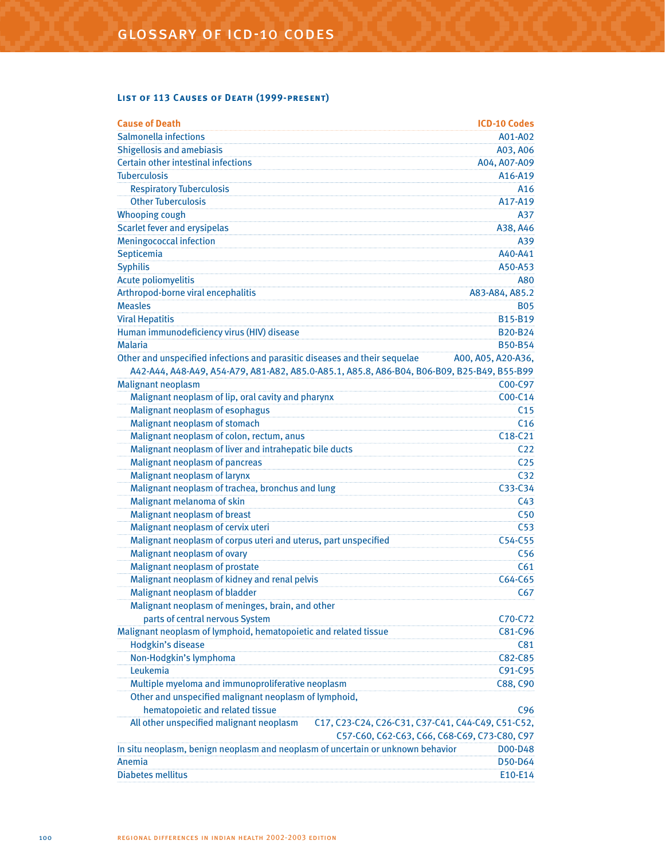## **List of 113 Causes of Death (1999-present)**

| <b>Cause of Death</b>                                                                         | <b>ICD-10 Codes</b> |
|-----------------------------------------------------------------------------------------------|---------------------|
| Salmonella infections                                                                         | A01-A02             |
| <b>Shigellosis and amebiasis</b>                                                              | A03, A06            |
| Certain other intestinal infections                                                           | A04, A07-A09        |
| <b>Tuberculosis</b>                                                                           | A16-A19             |
| <b>Respiratory Tuberculosis</b>                                                               | A <sub>16</sub>     |
| <b>Other Tuberculosis</b>                                                                     | A17-A19             |
| <b>Whooping cough</b>                                                                         | A37                 |
| <b>Scarlet fever and erysipelas</b>                                                           | A38, A46            |
| <b>Meningococcal infection</b>                                                                | A39                 |
| Septicemia                                                                                    | A40-A41             |
| <b>Syphilis</b>                                                                               | A50-A53             |
| <b>Acute poliomyelitis</b>                                                                    | A80                 |
| Arthropod-borne viral encephalitis                                                            | A83-A84, A85.2      |
| <b>Measles</b>                                                                                | <b>B05</b>          |
| <b>Viral Hepatitis</b>                                                                        | B15-B19             |
| Human immunodeficiency virus (HIV) disease                                                    | B20-B24             |
| <b>Malaria</b>                                                                                | <b>B50-B54</b>      |
| Other and unspecified infections and parasitic diseases and their sequelae                    | A00, A05, A20-A36,  |
| A42-A44, A48-A49, A54-A79, A81-A82, A85.0-A85.1, A85.8, A86-B04, B06-B09, B25-B49, B55-B99    |                     |
| <b>Malignant neoplasm</b>                                                                     | C00-C97             |
| Malignant neoplasm of lip, oral cavity and pharynx                                            | C00-C14             |
| Malignant neoplasm of esophagus                                                               | C <sub>15</sub>     |
| Malignant neoplasm of stomach                                                                 | C <sub>16</sub>     |
| Malignant neoplasm of colon, rectum, anus                                                     | $C18-C21$           |
| Malignant neoplasm of liver and intrahepatic bile ducts                                       | C <sub>22</sub>     |
| Malignant neoplasm of pancreas                                                                | C <sub>25</sub>     |
| Malignant neoplasm of larynx                                                                  | C <sub>32</sub>     |
| Malignant neoplasm of trachea, bronchus and lung                                              | C33-C34             |
| Malignant melanoma of skin                                                                    | C <sub>43</sub>     |
| Malignant neoplasm of breast                                                                  | C50                 |
| Malignant neoplasm of cervix uteri                                                            | C <sub>53</sub>     |
| Malignant neoplasm of corpus uteri and uterus, part unspecified                               | C54-C55             |
| Malignant neoplasm of ovary                                                                   | C <sub>56</sub>     |
| Malignant neoplasm of prostate                                                                | C61                 |
| Malignant neoplasm of kidney and renal pelvis                                                 | C64-C65             |
| Malignant neoplasm of bladder                                                                 | C67                 |
| Malignant neoplasm of meninges, brain, and other                                              |                     |
| parts of central nervous System                                                               | C70-C72             |
| Malignant neoplasm of lymphoid, hematopoietic and related tissue                              | C81-C96             |
| Hodgkin's disease                                                                             | C81                 |
| Non-Hodgkin's lymphoma                                                                        | C82-C85             |
| Leukemia                                                                                      | C91-C95             |
| Multiple myeloma and immunoproliferative neoplasm                                             | C88, C90            |
| Other and unspecified malignant neoplasm of lymphoid,                                         |                     |
| hematopoietic and related tissue                                                              | C <sub>96</sub>     |
| All other unspecified malignant neoplasm<br>C17, C23-C24, C26-C31, C37-C41, C44-C49, C51-C52, |                     |
| C57-C60, C62-C63, C66, C68-C69, C73-C80, C97                                                  |                     |
| In situ neoplasm, benign neoplasm and neoplasm of uncertain or unknown behavior               | D00-D48             |
| Anemia                                                                                        | D50-D64             |
| <b>Diabetes mellitus</b>                                                                      | E10-E14             |
|                                                                                               |                     |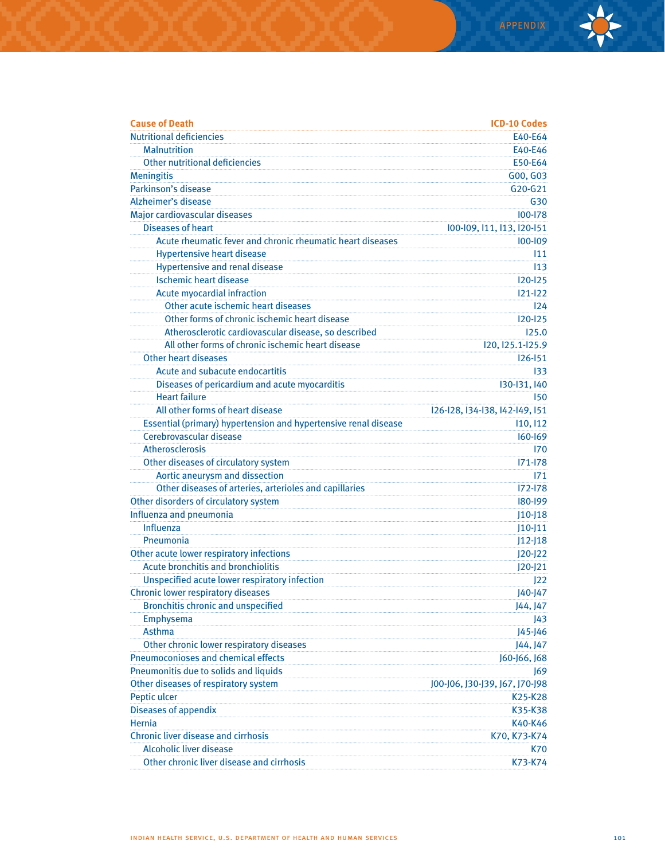| <b>Cause of Death</b>                                           | <b>ICD-10 Codes</b>            |
|-----------------------------------------------------------------|--------------------------------|
| <b>Nutritional deficiencies</b>                                 | E40-E64                        |
| <b>Malnutrition</b>                                             | E40-E46                        |
| Other nutritional deficiencies                                  | E50-E64                        |
| <b>Meningitis</b>                                               | G00, G03                       |
| Parkinson's disease                                             | G20-G21                        |
| Alzheimer's disease                                             | G30                            |
| Major cardiovascular diseases                                   | 100-178                        |
| <b>Diseases of heart</b>                                        | 100-109, 111, 113, 120-151     |
| Acute rheumatic fever and chronic rheumatic heart diseases      | 100-109                        |
| <b>Hypertensive heart disease</b>                               | 111                            |
| <b>Hypertensive and renal disease</b>                           | 113                            |
| <b>Ischemic heart disease</b>                                   | $120 - 125$                    |
| Acute myocardial infraction                                     | $121 - 122$                    |
| Other acute ischemic heart diseases                             | 124                            |
| Other forms of chronic ischemic heart disease                   | $120 - 125$                    |
| Atherosclerotic cardiovascular disease, so described            | 125.0                          |
| All other forms of chronic ischemic heart disease               | 120, 125.1-125.9               |
| Other heart diseases                                            | $126 - 151$                    |
| Acute and subacute endocartitis                                 | 133                            |
| Diseases of pericardium and acute myocarditis                   | 130-131, 140                   |
| <b>Heart failure</b>                                            | 150                            |
| All other forms of heart disease                                | 126-128, 134-138, 142-149, 151 |
| Essential (primary) hypertension and hypertensive renal disease | 110, 112                       |
| Cerebrovascular disease                                         | $160 - 169$                    |
| Atherosclerosis                                                 | 170                            |
| Other diseases of circulatory system                            | $171 - 178$                    |
| Aortic aneurysm and dissection                                  | 171                            |
| Other diseases of arteries, arterioles and capillaries          | 172-178                        |
| Other disorders of circulatory system                           | 180-199                        |
| Influenza and pneumonia                                         | $J10-J18$                      |
| Influenza                                                       | $J10-J11$                      |
| Pneumonia                                                       | $J12-J18$                      |
| Other acute lower respiratory infections                        | $J20-J22$                      |
| <b>Acute bronchitis and bronchiolitis</b>                       | $J20 - J21$                    |
| Unspecified acute lower respiratory infection                   | 122                            |
| <b>Chronic lower respiratory diseases</b>                       | J40-J47                        |
| <b>Bronchitis chronic and unspecified</b>                       | J44, J47                       |
| Emphysema                                                       | J43                            |
| Asthma                                                          | J45-J46                        |
| Other chronic lower respiratory diseases                        | J44, J47                       |
| <b>Pneumoconioses and chemical effects</b>                      | J60-J66, J68                   |
| Pneumonitis due to solids and liquids                           | 169                            |
| Other diseases of respiratory system                            | J00-J06, J30-J39, J67, J70-J98 |
| Peptic ulcer                                                    | K25-K28                        |
| <b>Diseases of appendix</b>                                     | K35-K38                        |
| Hernia                                                          | K40-K46                        |
| <b>Chronic liver disease and cirrhosis</b>                      | K70, K73-K74                   |
| <b>Alcoholic liver disease</b>                                  | K70                            |
| Other chronic liver disease and cirrhosis                       | K73-K74                        |
|                                                                 |                                |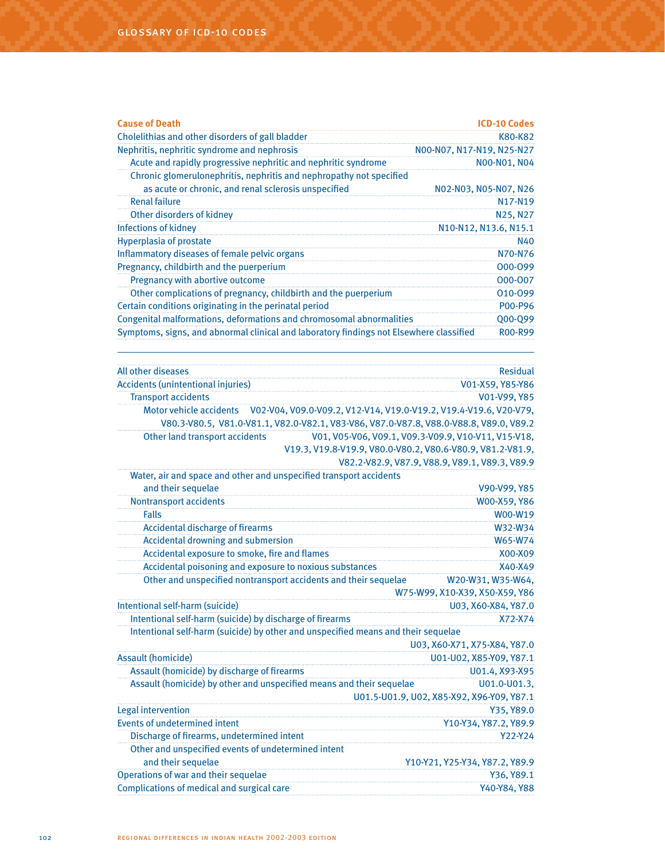| <b>Cause of Death</b>                                                                   | <b>ICD-10 Codes</b>               |
|-----------------------------------------------------------------------------------------|-----------------------------------|
| Cholelithias and other disorders of gall bladder                                        | K80-K82                           |
| Nephritis, nephritic syndrome and nephrosis                                             | NOO-NO7, N17-N19, N25-N27         |
| Acute and rapidly progressive nephritic and nephritic syndrome                          | NO0-NO1, NO4                      |
| Chronic glomerulonephritis, nephritis and nephropathy not specified                     |                                   |
| as acute or chronic, and renal sclerosis unspecified                                    | N02-N03, N05-N07, N26             |
| <b>Renal failure</b>                                                                    | N <sub>17</sub> -N <sub>19</sub>  |
| Other disorders of kidney                                                               | N <sub>25</sub> , N <sub>27</sub> |
| Infections of kidney                                                                    | N10-N12, N13.6, N15.1             |
| <b>Hyperplasia of prostate</b>                                                          | N40                               |
| Inflammatory diseases of female pelvic organs                                           | N70-N76                           |
| Pregnancy, childbirth and the puerperium                                                | 000-099                           |
| Pregnancy with abortive outcome                                                         | 000-007                           |
| Other complications of pregnancy, childbirth and the puerperium                         | 010-099                           |
| Certain conditions originating in the perinatal period                                  | P00-P96                           |
| Congenital malformations, deformations and chromosomal abnormalities                    | Q00-Q99                           |
| Symptoms, signs, and abnormal clinical and laboratory findings not Elsewhere classified | <b>ROO-R99</b>                    |

| All other diseases                                                                        | <b>Residual</b>                                            |
|-------------------------------------------------------------------------------------------|------------------------------------------------------------|
| <b>Accidents (unintentional injuries)</b>                                                 | V01-X59, Y85-Y86                                           |
| <b>Transport accidents</b>                                                                | V01-V99, Y85                                               |
| Motor vehicle accidents V02-V04, V09.0-V09.2, V12-V14, V19.0-V19.2, V19.4-V19.6, V20-V79, |                                                            |
| V80.3-V80.5, V81.0-V81.1, V82.0-V82.1, V83-V86, V87.0-V87.8, V88.0-V88.8, V89.0, V89.2    |                                                            |
| Other land transport accidents                                                            | V01, V05-V06, V09.1, V09.3-V09.9, V10-V11, V15-V18,        |
|                                                                                           | V19.3, V19.8-V19.9, V80.0-V80.2, V80.6-V80.9, V81.2-V81.9, |
|                                                                                           | V82.2-V82.9, V87.9, V88.9, V89.1, V89.3, V89.9             |
| Water, air and space and other and unspecified transport accidents                        |                                                            |
| and their sequelae                                                                        | V90-V99, Y85                                               |
| <b>Nontransport accidents</b>                                                             | W00-X59, Y86                                               |
| <b>Falls</b>                                                                              | W00-W19                                                    |
| <b>Accidental discharge of firearms</b>                                                   | W32-W34                                                    |
| <b>Accidental drowning and submersion</b>                                                 | W65-W74                                                    |
| Accidental exposure to smoke, fire and flames                                             | X00-X09                                                    |
| Accidental poisoning and exposure to noxious substances                                   | X40-X49                                                    |
| Other and unspecified nontransport accidents and their sequelae                           | W20-W31, W35-W64,                                          |
|                                                                                           | W75-W99, X10-X39, X50-X59, Y86                             |
| Intentional self-harm (suicide)                                                           | U03, X60-X84, Y87.0                                        |
| Intentional self-harm (suicide) by discharge of firearms                                  | X72-X74                                                    |
| Intentional self-harm (suicide) by other and unspecified means and their sequelae         |                                                            |
|                                                                                           | U03, X60-X71, X75-X84, Y87.0                               |
| <b>Assault (homicide)</b>                                                                 | U01-U02, X85-Y09, Y87.1                                    |
| Assault (homicide) by discharge of firearms                                               | U01.4, X93-X95                                             |
| Assault (homicide) by other and unspecified means and their sequelae                      | U01.0-U01.3,                                               |
|                                                                                           | U01.5-U01.9, U02, X85-X92, X96-Y09, Y87.1                  |
| <b>Legal intervention</b>                                                                 | Y35, Y89.0                                                 |
| <b>Events of undetermined intent</b>                                                      | Y10-Y34, Y87.2, Y89.9                                      |
| Discharge of firearms, undetermined intent                                                | Y22-Y24                                                    |
| Other and unspecified events of undetermined intent                                       |                                                            |
| and their sequelae                                                                        | Y10-Y21, Y25-Y34, Y87.2, Y89.9                             |
| Operations of war and their sequelae                                                      | Y36, Y89.1                                                 |
| Complications of medical and surgical care                                                | Y40-Y84, Y88                                               |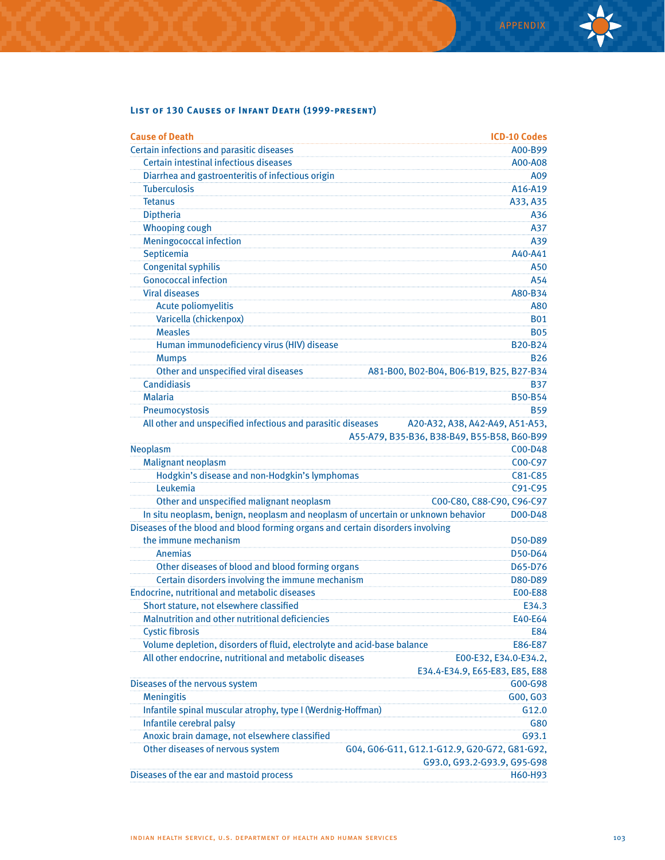## **List of 130 Causes of Infant Death (1999-present)**

| <b>Cause of Death</b>                                                            | <b>ICD-10 Codes</b>                          |
|----------------------------------------------------------------------------------|----------------------------------------------|
| Certain infections and parasitic diseases                                        | A00-B99                                      |
| Certain intestinal infectious diseases                                           | A00-A08                                      |
| Diarrhea and gastroenteritis of infectious origin                                | A09                                          |
| <b>Tuberculosis</b>                                                              | A16-A19                                      |
| <b>Tetanus</b>                                                                   | A33, A35                                     |
| <b>Diptheria</b>                                                                 | A36                                          |
| <b>Whooping cough</b>                                                            | A37                                          |
| <b>Meningococcal infection</b>                                                   | A39                                          |
| Septicemia                                                                       | A40-A41                                      |
| <b>Congenital syphilis</b>                                                       | A50                                          |
| <b>Gonococcal infection</b>                                                      | A54                                          |
| <b>Viral diseases</b>                                                            | A80-B34                                      |
| <b>Acute poliomyelitis</b>                                                       | A80                                          |
| Varicella (chickenpox)                                                           | <b>B01</b>                                   |
| <b>Measles</b>                                                                   | <b>B05</b>                                   |
| Human immunodeficiency virus (HIV) disease                                       | <b>B20-B24</b>                               |
| <b>Mumps</b>                                                                     | <b>B26</b>                                   |
| Other and unspecified viral diseases                                             | A81-B00, B02-B04, B06-B19, B25, B27-B34      |
| Candidiasis                                                                      | B37                                          |
| <b>Malaria</b>                                                                   | <b>B50-B54</b>                               |
| Pneumocystosis                                                                   | <b>B59</b>                                   |
| All other and unspecified infectious and parasitic diseases                      | A20-A32, A38, A42-A49, A51-A53,              |
|                                                                                  | A55-A79, B35-B36, B38-B49, B55-B58, B60-B99  |
| <b>Neoplasm</b>                                                                  | C00-D48                                      |
| <b>Malignant neoplasm</b>                                                        | C00-C97                                      |
| Hodgkin's disease and non-Hodgkin's lymphomas                                    | C81-C85                                      |
| Leukemia                                                                         | C91-C95                                      |
| Other and unspecified malignant neoplasm                                         | C00-C80, C88-C90, C96-C97                    |
| In situ neoplasm, benign, neoplasm and neoplasm of uncertain or unknown behavior | D00-D48                                      |
| Diseases of the blood and blood forming organs and certain disorders involving   |                                              |
| the immune mechanism                                                             | D50-D89                                      |
| Anemias                                                                          | D50-D64                                      |
| Other diseases of blood and blood forming organs                                 | D65-D76                                      |
| Certain disorders involving the immune mechanism                                 | D80-D89                                      |
| Endocrine, nutritional and metabolic diseases                                    | <b>E00-E88</b>                               |
| Short stature, not elsewhere classified                                          | E34.3                                        |
| <b>Malnutrition and other nutritional deficiencies</b>                           | E40-E64                                      |
| <b>Cystic fibrosis</b>                                                           | E84                                          |
| Volume depletion, disorders of fluid, electrolyte and acid-base balance          | E86-E87                                      |
| All other endocrine, nutritional and metabolic diseases                          | E00-E32, E34.0-E34.2,                        |
|                                                                                  | E34.4-E34.9, E65-E83, E85, E88               |
| Diseases of the nervous system                                                   | G00-G98                                      |
| <b>Meningitis</b>                                                                | G00, G03                                     |
| Infantile spinal muscular atrophy, type I (Werdnig-Hoffman)                      | G12.0                                        |
| Infantile cerebral palsy                                                         | G80                                          |
| Anoxic brain damage, not elsewhere classified                                    | G93.1                                        |
| Other diseases of nervous system                                                 | G04, G06-G11, G12.1-G12.9, G20-G72, G81-G92, |
|                                                                                  | G93.0, G93.2-G93.9, G95-G98                  |
| Diseases of the ear and mastoid process                                          | H60-H93                                      |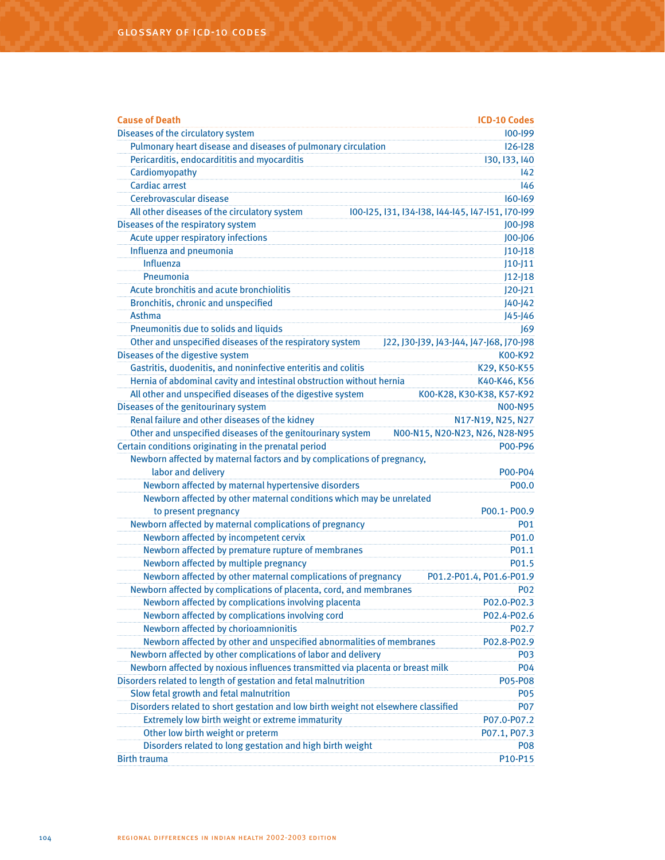| <b>Cause of Death</b>                                                              | <b>ICD-10 Codes</b>                              |
|------------------------------------------------------------------------------------|--------------------------------------------------|
| Diseases of the circulatory system                                                 | 100-199                                          |
| Pulmonary heart disease and diseases of pulmonary circulation                      | $126 - 128$                                      |
| Pericarditis, endocardititis and myocarditis                                       | 130, 133, 140                                    |
| Cardiomyopathy                                                                     | $ 42\rangle$                                     |
| <b>Cardiac arrest</b>                                                              | 146                                              |
| Cerebrovascular disease                                                            | $160 - 169$                                      |
| All other diseases of the circulatory system                                       | 100-125, 131, 134-138, 144-145, 147-151, 170-199 |
| Diseases of the respiratory system                                                 | J00-J98                                          |
| Acute upper respiratory infections                                                 | J00-J06                                          |
| Influenza and pneumonia                                                            | $J10-J18$                                        |
| Influenza                                                                          | $J10-J11$                                        |
| Pneumonia                                                                          | $J12-J18$                                        |
| Acute bronchitis and acute bronchiolitis                                           | $J20 - J21$                                      |
| Bronchitis, chronic and unspecified                                                | $J40 - J42$                                      |
| <b>Asthma</b>                                                                      | J45-J46                                          |
| Pneumonitis due to solids and liquids                                              | 169                                              |
| Other and unspecified diseases of the respiratory system                           | J22, J30-J39, J43-J44, J47-J68, J70-J98          |
| Diseases of the digestive system                                                   | K00-K92                                          |
| Gastritis, duodenitis, and noninfective enteritis and colitis                      | K29, K50-K55                                     |
| Hernia of abdominal cavity and intestinal obstruction without hernia               | K40-K46, K56                                     |
| All other and unspecified diseases of the digestive system                         | K00-K28, K30-K38, K57-K92                        |
| Diseases of the genitourinary system                                               | <b>NOO-N95</b>                                   |
| Renal failure and other diseases of the kidney                                     | N17-N19, N25, N27                                |
| Other and unspecified diseases of the genitourinary system                         | N00-N15, N20-N23, N26, N28-N95                   |
| Certain conditions originating in the prenatal period                              | P00-P96                                          |
| Newborn affected by maternal factors and by complications of pregnancy,            |                                                  |
| labor and delivery                                                                 | P00-P04                                          |
| Newborn affected by maternal hypertensive disorders                                | P00.0                                            |
| Newborn affected by other maternal conditions which may be unrelated               |                                                  |
| to present pregnancy                                                               | P00.1-P00.9                                      |
| Newborn affected by maternal complications of pregnancy                            | P01                                              |
| Newborn affected by incompetent cervix                                             | P01.0                                            |
| Newborn affected by premature rupture of membranes                                 | P01.1                                            |
| Newborn affected by multiple pregnancy                                             | P01.5                                            |
| Newborn affected by other maternal complications of pregnancy                      | P01.2-P01.4, P01.6-P01.9                         |
| Newborn affected by complications of placenta, cord, and membranes                 | <b>PO2</b>                                       |
| Newborn affected by complications involving placenta                               | P02.0-P02.3                                      |
| Newborn affected by complications involving cord                                   | P02.4-P02.6                                      |
| Newborn affected by chorioamnionitis                                               | P02.7                                            |
| Newborn affected by other and unspecified abnormalities of membranes               | P02.8-P02.9                                      |
| Newborn affected by other complications of labor and delivery                      | P03                                              |
| Newborn affected by noxious influences transmitted via placenta or breast milk     | <b>P04</b>                                       |
| Disorders related to length of gestation and fetal malnutrition                    | P05-P08                                          |
| Slow fetal growth and fetal malnutrition                                           | P05                                              |
| Disorders related to short gestation and low birth weight not elsewhere classified | <b>P07</b>                                       |
| Extremely low birth weight or extreme immaturity                                   | P07.0-P07.2                                      |
| Other low birth weight or preterm                                                  | P07.1, P07.3                                     |
| Disorders related to long gestation and high birth weight                          | P08                                              |
| <b>Birth trauma</b>                                                                | P10-P15                                          |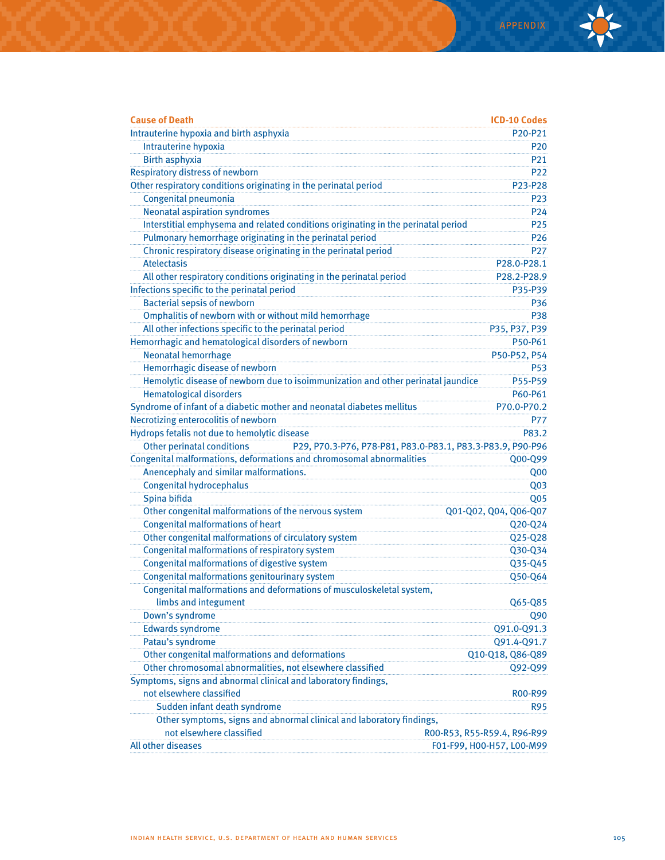| <b>Cause of Death</b>                                                                           | <b>ICD-10 Codes</b>         |
|-------------------------------------------------------------------------------------------------|-----------------------------|
| Intrauterine hypoxia and birth asphyxia                                                         | P20-P21                     |
| Intrauterine hypoxia                                                                            | <b>P20</b>                  |
| <b>Birth asphyxia</b>                                                                           | P <sub>21</sub>             |
| <b>Respiratory distress of newborn</b>                                                          | P <sub>22</sub>             |
| Other respiratory conditions originating in the perinatal period                                | P23-P28                     |
| Congenital pneumonia                                                                            | P <sub>23</sub>             |
| Neonatal aspiration syndromes                                                                   | P <sub>24</sub>             |
| Interstitial emphysema and related conditions originating in the perinatal period               | P <sub>25</sub>             |
| Pulmonary hemorrhage originating in the perinatal period                                        | P <sub>26</sub>             |
| Chronic respiratory disease originating in the perinatal period                                 | P <sub>27</sub>             |
| <b>Atelectasis</b>                                                                              | P28.0-P28.1                 |
| All other respiratory conditions originating in the perinatal period                            | P28.2-P28.9                 |
| Infections specific to the perinatal period                                                     | P35-P39                     |
| <b>Bacterial sepsis of newborn</b>                                                              | P36                         |
| Omphalitis of newborn with or without mild hemorrhage                                           | <b>P38</b>                  |
| All other infections specific to the perinatal period                                           | P35, P37, P39               |
| Hemorrhagic and hematological disorders of newborn                                              | P50-P61                     |
| <b>Neonatal hemorrhage</b>                                                                      | P50-P52, P54                |
| Hemorrhagic disease of newborn                                                                  | <b>P53</b>                  |
| Hemolytic disease of newborn due to isoimmunization and other perinatal jaundice                | P55-P59                     |
| <b>Hematological disorders</b>                                                                  | P60-P61                     |
| Syndrome of infant of a diabetic mother and neonatal diabetes mellitus                          | P70.0-P70.2                 |
| Necrotizing enterocolitis of newborn                                                            | <b>P77</b>                  |
| Hydrops fetalis not due to hemolytic disease                                                    | P83.2                       |
| <b>Other perinatal conditions</b><br>P29, P70.3-P76, P78-P81, P83.0-P83.1, P83.3-P83.9, P90-P96 |                             |
| Congenital malformations, deformations and chromosomal abnormalities                            | Q00-Q99                     |
| Anencephaly and similar malformations.                                                          | Q <sub>00</sub>             |
| <b>Congenital hydrocephalus</b>                                                                 | Q <sub>03</sub>             |
| Spina bifida                                                                                    | Q <sub>05</sub>             |
| Other congenital malformations of the nervous system                                            | Q01-Q02, Q04, Q06-Q07       |
| <b>Congenital malformations of heart</b>                                                        | Q20-Q24                     |
| Other congenital malformations of circulatory system                                            | Q25-Q28                     |
| Congenital malformations of respiratory system                                                  | Q30-Q34                     |
| Congenital malformations of digestive system                                                    | Q35-Q45                     |
| Congenital malformations genitourinary system                                                   | Q50-Q64                     |
| Congenital malformations and deformations of musculoskeletal system,                            |                             |
| limbs and integument                                                                            | Q65-Q85                     |
| Down's syndrome                                                                                 | Q90                         |
| <b>Edwards syndrome</b>                                                                         | Q91.0-Q91.3                 |
| Patau's syndrome                                                                                | Q91.4-Q91.7                 |
| Other congenital malformations and deformations                                                 | Q10-Q18, Q86-Q89            |
| Other chromosomal abnormalities, not elsewhere classified                                       | Q92-Q99                     |
| Symptoms, signs and abnormal clinical and laboratory findings,                                  |                             |
| not elsewhere classified                                                                        | <b>ROO-R99</b>              |
| Sudden infant death syndrome                                                                    | R95                         |
| Other symptoms, signs and abnormal clinical and laboratory findings,                            |                             |
| not elsewhere classified                                                                        | R00-R53, R55-R59.4, R96-R99 |
| All other diseases                                                                              | F01-F99, H00-H57, L00-M99   |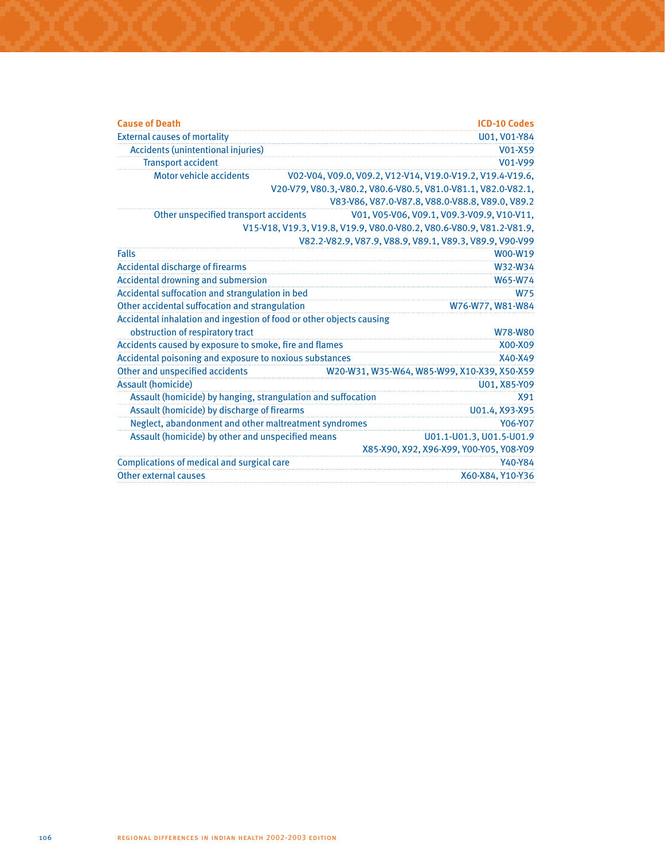| <b>Cause of Death</b>                                                | <b>ICD-10 Codes</b>                                                  |
|----------------------------------------------------------------------|----------------------------------------------------------------------|
| <b>External causes of mortality</b>                                  | U01, V01-Y84                                                         |
| <b>Accidents (unintentional injuries)</b>                            | V01-X59                                                              |
| <b>Transport accident</b>                                            | V01-V99                                                              |
| Motor vehicle accidents                                              | V02-V04, V09.0, V09.2, V12-V14, V19.0-V19.2, V19.4-V19.6,            |
|                                                                      | V20-V79, V80.3,-V80.2, V80.6-V80.5, V81.0-V81.1, V82.0-V82.1,        |
|                                                                      | V83-V86, V87.0-V87.8, V88.0-V88.8, V89.0, V89.2                      |
| Other unspecified transport accidents                                | V01, V05-V06, V09.1, V09.3-V09.9, V10-V11,                           |
|                                                                      | V15-V18, V19.3, V19.8, V19.9, V80.0-V80.2, V80.6-V80.9, V81.2-V81.9, |
|                                                                      | V82.2-V82.9, V87.9, V88.9, V89.1, V89.3, V89.9, V90-V99              |
| <b>Falls</b>                                                         | W00-W19                                                              |
| <b>Accidental discharge of firearms</b>                              | W32-W34                                                              |
| Accidental drowning and submersion                                   | W65-W74                                                              |
| Accidental suffocation and strangulation in bed                      | <b>W75</b>                                                           |
| Other accidental suffocation and strangulation                       | W76-W77, W81-W84                                                     |
| Accidental inhalation and ingestion of food or other objects causing |                                                                      |
| obstruction of respiratory tract                                     | <b>W78-W80</b>                                                       |
| Accidents caused by exposure to smoke, fire and flames               | X00-X09                                                              |
| Accidental poisoning and exposure to noxious substances              | X40-X49                                                              |
| Other and unspecified accidents                                      | W20-W31, W35-W64, W85-W99, X10-X39, X50-X59                          |
| <b>Assault (homicide)</b>                                            | U01, X85-Y09                                                         |
| Assault (homicide) by hanging, strangulation and suffocation         | X91                                                                  |
| Assault (homicide) by discharge of firearms                          | U01.4, X93-X95                                                       |
| Neglect, abandonment and other maltreatment syndromes                | Y06-Y07                                                              |
| Assault (homicide) by other and unspecified means                    | U01.1-U01.3, U01.5-U01.9                                             |
|                                                                      | X85-X90, X92, X96-X99, Y00-Y05, Y08-Y09                              |
| Complications of medical and surgical care                           | Y40-Y84                                                              |
| <b>Other external causes</b>                                         | X60-X84, Y10-Y36                                                     |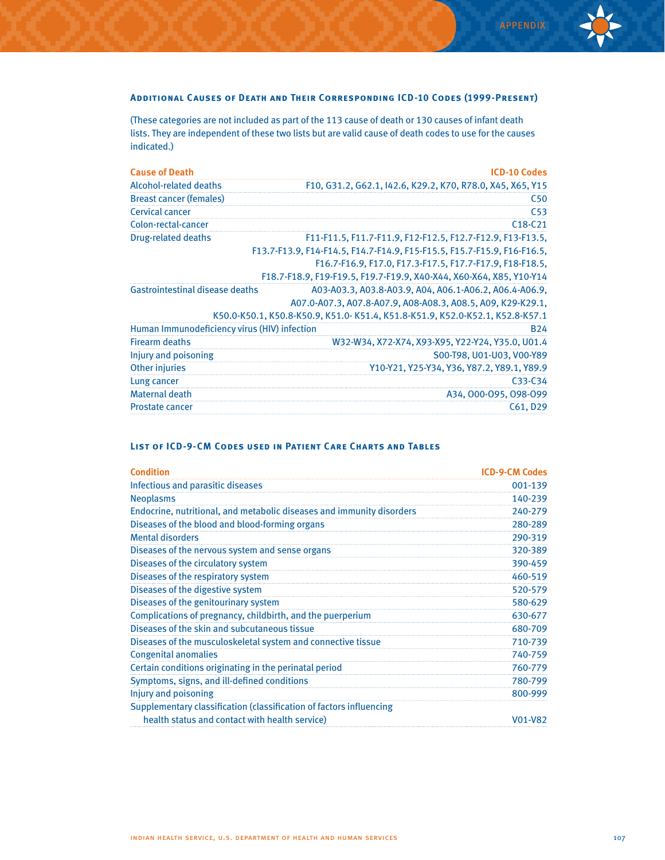#### **Additional Causes of Death and Their Corresponding ICD-10 Codes (1999-Present)**

(These categories are not included as part of the 113 cause of death or 130 causes of infant death lists. They are independent of these two lists but are valid cause of death codes to use for the causes indicated.)

| <b>Cause of Death</b>                        | <b>ICD-10 Codes</b>                                                          |
|----------------------------------------------|------------------------------------------------------------------------------|
| Alcohol-related deaths                       | F10, G31.2, G62.1, I42.6, K29.2, K70, R78.0, X45, X65, Y15                   |
| <b>Breast cancer (females)</b>               | C50                                                                          |
| Cervical cancer                              | C <sub>53</sub>                                                              |
| Colon-rectal-cancer                          | $C18-C21$                                                                    |
| Drug-related deaths                          | F11-F11.5, F11.7-F11.9, F12-F12.5, F12.7-F12.9, F13-F13.5,                   |
|                                              | F13.7-F13.9, F14-F14.5, F14.7-F14.9, F15-F15.5, F15.7-F15.9, F16-F16.5,      |
|                                              | F16.7-F16.9, F17.0, F17.3-F17.5, F17.7-F17.9, F18-F18.5,                     |
|                                              | F18.7-F18.9, F19-F19.5, F19.7-F19.9, X40-X44, X60-X64, X85, Y10-Y14          |
| <b>Gastrointestinal disease deaths</b>       | A03-A03.3, A03.8-A03.9, A04, A06.1-A06.2, A06.4-A06.9,                       |
|                                              | A07.0-A07.3, A07.8-A07.9, A08-A08.3, A08.5, A09, K29-K29.1,                  |
|                                              | K50.0-K50.1, K50.8-K50.9, K51.0-K51.4, K51.8-K51.9, K52.0-K52.1, K52.8-K57.1 |
| Human Immunodeficiency virus (HIV) infection | <b>B24</b>                                                                   |
| <b>Firearm deaths</b>                        | W32-W34, X72-X74, X93-X95, Y22-Y24, Y35.0, U01.4                             |
| Injury and poisoning                         | S00-T98, U01-U03, V00-Y89                                                    |
| Other injuries                               | Y10-Y21, Y25-Y34, Y36, Y87.2, Y89.1, Y89.9                                   |
| Lung cancer                                  | $C33-C34$                                                                    |
| <b>Maternal death</b>                        | A34, 000-095, 098-099                                                        |
| <b>Prostate cancer</b>                       | C61, D29                                                                     |

# **List of ICD-9-CM Codes used in Patient Care Charts and Tables**

| <b>Condition</b>                                                      | <b>ICD-9-CM Codes</b> |
|-----------------------------------------------------------------------|-----------------------|
| Infectious and parasitic diseases                                     | 001-139               |
| <b>Neoplasms</b>                                                      | 140-239               |
| Endocrine, nutritional, and metabolic diseases and immunity disorders | 240-279               |
| Diseases of the blood and blood-forming organs                        | 280-289               |
| <b>Mental disorders</b>                                               | 290-319               |
| Diseases of the nervous system and sense organs                       | 320-389               |
| Diseases of the circulatory system                                    | 390-459               |
| Diseases of the respiratory system                                    | 460-519               |
| Diseases of the digestive system                                      | 520-579               |
| Diseases of the genitourinary system                                  | 580-629               |
| Complications of pregnancy, childbirth, and the puerperium            | 630-677               |
| Diseases of the skin and subcutaneous tissue                          | 680-709               |
| Diseases of the musculoskeletal system and connective tissue          | 710-739               |
| <b>Congenital anomalies</b>                                           | 740-759               |
| Certain conditions originating in the perinatal period                | 760-779               |
| Symptoms, signs, and ill-defined conditions                           | 780-799               |
| Injury and poisoning                                                  | 800-999               |
| Supplementary classification (classification of factors influencing   |                       |
| health status and contact with health service)                        | V01-V82               |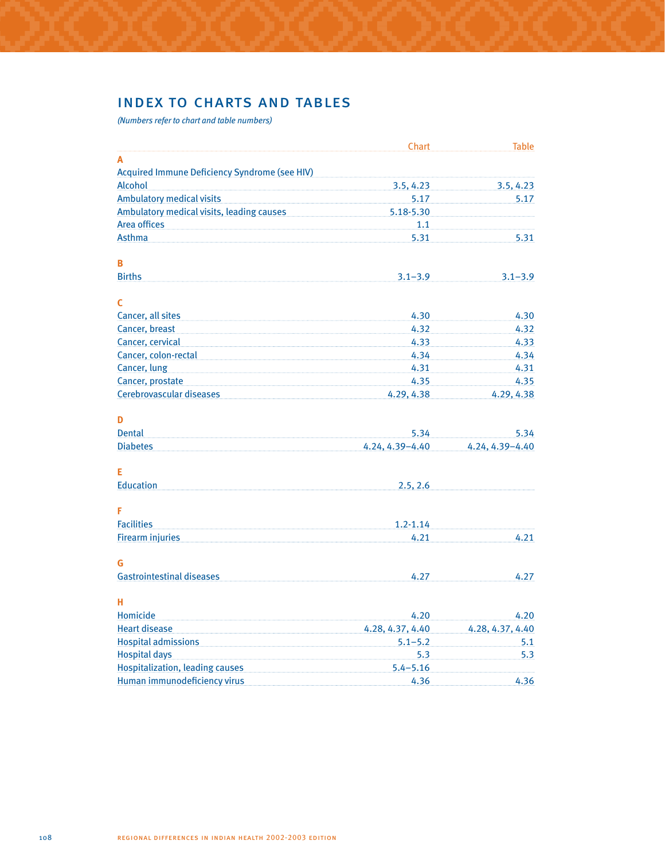# index to charts and tables

*(Numbers refer to chart and table numbers)*

|                                                      | Chart            | <b>Table</b>     |
|------------------------------------------------------|------------------|------------------|
| A                                                    |                  |                  |
| <b>Acquired Immune Deficiency Syndrome (see HIV)</b> |                  |                  |
| <b>Alcohol</b>                                       | 3.5, 4.23        | 3.5, 4.23        |
| <b>Ambulatory medical visits</b>                     | 5.17             | 5.17             |
| <b>Ambulatory medical visits, leading causes</b>     | 5.18-5.30        |                  |
| Area offices                                         | 1.1              |                  |
| <b>Asthma</b>                                        | 5.31             | 5.31             |
| в                                                    |                  |                  |
| <b>Births</b>                                        | $3.1 - 3.9$      | $3.1 - 3.9$      |
| C                                                    |                  |                  |
| Cancer, all sites                                    | 4.30             | 4.30             |
| Cancer, breast                                       | 4.32             | 4.32             |
| Cancer, cervical                                     | 4.33             | 4.33             |
| Cancer, colon-rectal                                 | 4.34             | 4.34             |
| Cancer, lung                                         | 4.31             | 4.31             |
| Cancer, prostate                                     | 4.35             | 4.35             |
| Cerebrovascular diseases                             | 4.29, 4.38       | 4.29, 4.38       |
| D                                                    |                  |                  |
| <b>Dental</b>                                        | 5.34             | 5.34             |
| <b>Diabetes</b>                                      | 4.24, 4.39-4.40  | 4.24, 4.39-4.40  |
| Е                                                    |                  |                  |
| <b>Education</b>                                     | 2.5, 2.6         |                  |
| F                                                    |                  |                  |
| <b>Facilities</b>                                    | $1.2 - 1.14$     |                  |
| <b>Firearm injuries</b>                              | 4.21             | 4.21             |
| G                                                    |                  |                  |
| <b>Gastrointestinal diseases</b>                     | 4.27             | 4.27             |
| н                                                    |                  |                  |
| Homicide                                             | 4.20             | 4.20             |
| <b>Heart disease</b>                                 | 4.28, 4.37, 4.40 | 4.28, 4.37, 4.40 |
| <b>Hospital admissions</b>                           | $5.1 - 5.2$      | 5.1              |
| <b>Hospital days</b>                                 | 5.3              | 5.3              |
| <b>Hospitalization, leading causes</b>               | $5.4 - 5.16$     |                  |
| Human immunodeficiency virus                         | 4.36             | 4.36             |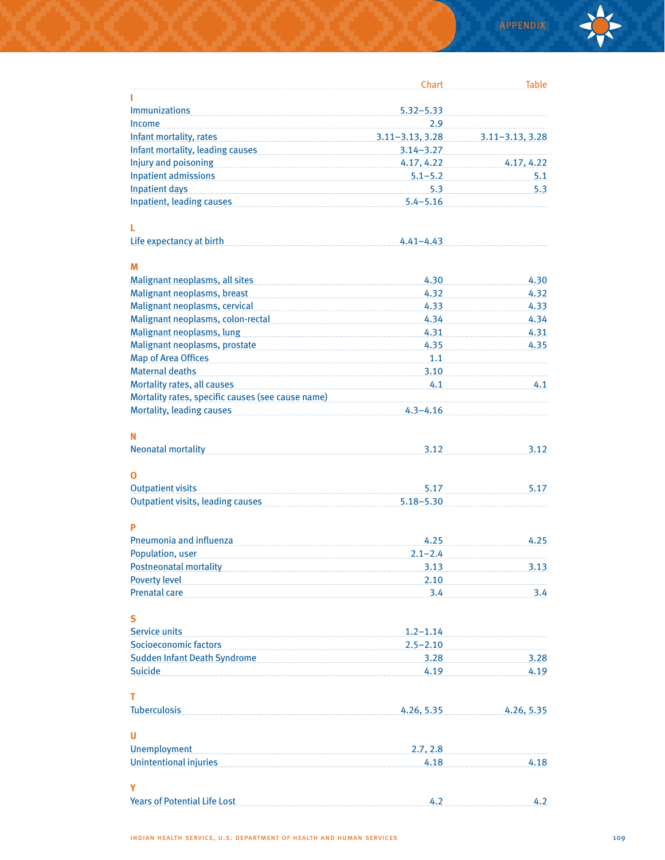

|                                                                                                                                                                                                                                      | Chart               | <b>Table</b>        |
|--------------------------------------------------------------------------------------------------------------------------------------------------------------------------------------------------------------------------------------|---------------------|---------------------|
|                                                                                                                                                                                                                                      |                     |                     |
| <b>Immunizations</b>                                                                                                                                                                                                                 | $5.32 - 5.33$       |                     |
| <b>Income</b>                                                                                                                                                                                                                        | $2.9^{\circ}$       |                     |
| Infant mortality, rates                                                                                                                                                                                                              | $3.11 - 3.13, 3.28$ | $3.11 - 3.13, 3.28$ |
| Infant mortality, leading causes Manuscritics and the line of the line of the line of the line of the line of                                                                                                                        | $3.14 - 3.27$       |                     |
| Injury and poisoning <b>State of the Contract Only and State Of the Contract Only and State Of the Contract Of the Contract Of the Contract Of the Contract Of the Contract Of the Contract Of the Contract Of the Contract Of t</b> | 4.17, 4.22          | 4.17, 4.22          |
|                                                                                                                                                                                                                                      | $5.1 - 5.2$         | 5.1                 |
| <b>Inpatient days</b>                                                                                                                                                                                                                | 5.3                 | 5.3                 |
| Inpatient, leading causes <b>Analyzine and Strategies Inpatient</b> , leading causes                                                                                                                                                 | $5.4 - 5.16$        |                     |
| L                                                                                                                                                                                                                                    |                     |                     |
| Life expectancy at birth                                                                                                                                                                                                             | $4.41 - 4.43$       |                     |
| M                                                                                                                                                                                                                                    |                     |                     |
| Malignant neoplasms, all sites                                                                                                                                                                                                       | 4.30                | 4.30                |
| Malignant neoplasms, breast                                                                                                                                                                                                          | 4.32                | 4.32                |
| Malignant neoplasms, cervical                                                                                                                                                                                                        | 4.33                | 4.33                |
| Malignant neoplasms, colon-rectal                                                                                                                                                                                                    | 4.34                | 4.34                |
| Malignant neoplasms, lung                                                                                                                                                                                                            | 4.31                | 4.31                |
| Malignant neoplasms, prostate                                                                                                                                                                                                        | 4.35                | 4.35                |
| <b>Map of Area Offices</b>                                                                                                                                                                                                           | 1.1                 |                     |
| <b>Maternal deaths</b>                                                                                                                                                                                                               | 3.10                |                     |
| Mortality rates, all causes                                                                                                                                                                                                          | 4.1                 | 4.1                 |
| Mortality rates, specific causes (see cause name)                                                                                                                                                                                    |                     |                     |
| <b>Mortality, leading causes</b>                                                                                                                                                                                                     | $4.3 - 4.16$        |                     |
| Ν                                                                                                                                                                                                                                    |                     |                     |
| <b>Neonatal mortality</b>                                                                                                                                                                                                            | 3.12                | 3.12                |
| Ο                                                                                                                                                                                                                                    |                     |                     |
| <b>Outpatient visits</b>                                                                                                                                                                                                             | 5.17                | 5.17                |
| <b>Outpatient visits, leading causes</b>                                                                                                                                                                                             | $5.18 - 5.30$       |                     |
| P                                                                                                                                                                                                                                    |                     |                     |
| Pneumonia and influenza                                                                                                                                                                                                              | 4.25                | 4.25                |
| Population, user                                                                                                                                                                                                                     | $2.1 - 2.4$         |                     |
| <b>Postneonatal mortality</b>                                                                                                                                                                                                        | 3.13                | 3.13                |
| <b>Poverty level</b>                                                                                                                                                                                                                 | 2.10                |                     |
| <b>Prenatal care</b>                                                                                                                                                                                                                 | 3.4                 | 3.4                 |
| S                                                                                                                                                                                                                                    |                     |                     |
| Service units                                                                                                                                                                                                                        | $1.2 - 1.14$        |                     |
| Socioeconomic factors                                                                                                                                                                                                                | $2.5 - 2.10$        |                     |
| Sudden Infant Death Syndrome                                                                                                                                                                                                         | 3.28                | 3.28                |
| <b>Suicide</b>                                                                                                                                                                                                                       | 4.19                | 4.19                |
|                                                                                                                                                                                                                                      |                     |                     |
| Т                                                                                                                                                                                                                                    |                     |                     |
| <b>Tuberculosis</b>                                                                                                                                                                                                                  | 4.26, 5.35          | 4.26, 5.35          |
| U                                                                                                                                                                                                                                    |                     |                     |
| <b>Unemployment</b>                                                                                                                                                                                                                  | 2.7, 2.8            |                     |
| <b>Unintentional injuries</b>                                                                                                                                                                                                        | 4.18                | 4.18                |
| Y                                                                                                                                                                                                                                    |                     |                     |
| <b>Years of Potential Life Lost</b>                                                                                                                                                                                                  | 4.2                 | 4.2                 |